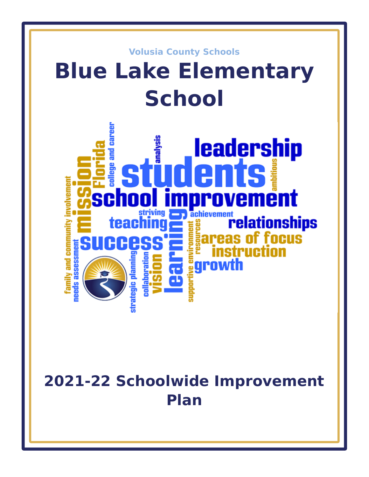

# **2021-22 Schoolwide Improvement Plan**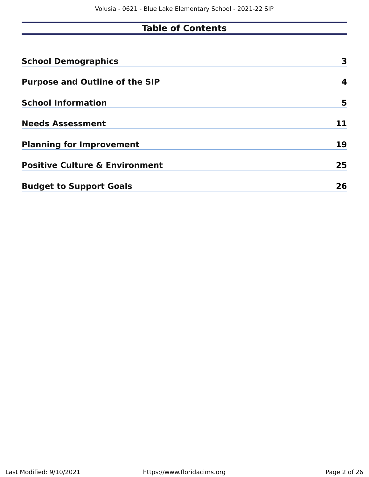### **Table of Contents**

| <b>School Demographics</b>                | 3  |
|-------------------------------------------|----|
| <b>Purpose and Outline of the SIP</b>     | 4  |
| <b>School Information</b>                 | 5  |
| <b>Needs Assessment</b>                   | 11 |
| <b>Planning for Improvement</b>           | 19 |
| <b>Positive Culture &amp; Environment</b> | 25 |
| <b>Budget to Support Goals</b>            | 26 |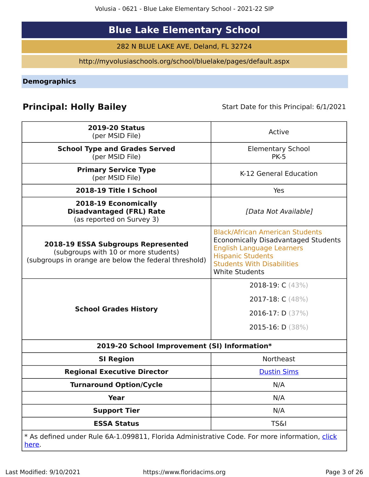## **Blue Lake Elementary School**

282 N BLUE LAKE AVE, Deland, FL 32724

http://myvolusiaschools.org/school/bluelake/pages/default.aspx

<span id="page-2-0"></span>**Demographics**

### **Principal: Holly Bailey** Start Date for this Principal: 6/1/2021

| <b>2019-20 Status</b><br>(per MSID File)                                                                                            | Active                                                                                                                                                                                                             |
|-------------------------------------------------------------------------------------------------------------------------------------|--------------------------------------------------------------------------------------------------------------------------------------------------------------------------------------------------------------------|
| <b>School Type and Grades Served</b><br>(per MSID File)                                                                             | <b>Elementary School</b><br><b>PK-5</b>                                                                                                                                                                            |
| <b>Primary Service Type</b><br>(per MSID File)                                                                                      | K-12 General Education                                                                                                                                                                                             |
| 2018-19 Title I School                                                                                                              | Yes                                                                                                                                                                                                                |
| 2018-19 Economically<br><b>Disadvantaged (FRL) Rate</b><br>(as reported on Survey 3)                                                | [Data Not Available]                                                                                                                                                                                               |
| 2018-19 ESSA Subgroups Represented<br>(subgroups with 10 or more students)<br>(subgroups in orange are below the federal threshold) | <b>Black/African American Students</b><br><b>Economically Disadvantaged Students</b><br><b>English Language Learners</b><br><b>Hispanic Students</b><br><b>Students With Disabilities</b><br><b>White Students</b> |
| <b>School Grades History</b>                                                                                                        | 2018-19: $C(43%)$<br>2017-18: C (48%)<br>2016-17: D $(37%)$<br>2015-16: D (38%)                                                                                                                                    |
| 2019-20 School Improvement (SI) Information*                                                                                        |                                                                                                                                                                                                                    |
| <b>SI Region</b>                                                                                                                    | <b>Northeast</b>                                                                                                                                                                                                   |
| <b>Regional Executive Director</b>                                                                                                  | <b>Dustin Sims</b>                                                                                                                                                                                                 |
| <b>Turnaround Option/Cycle</b>                                                                                                      | N/A                                                                                                                                                                                                                |
| <b>Year</b>                                                                                                                         | N/A                                                                                                                                                                                                                |
| <b>Support Tier</b>                                                                                                                 | N/A                                                                                                                                                                                                                |
| <b>ESSA Status</b>                                                                                                                  | <b>TS&amp;I</b>                                                                                                                                                                                                    |
| * As defined under Rule 6A-1.099811, Florida Administrative Code. For more information, click<br><u>here</u> .                      |                                                                                                                                                                                                                    |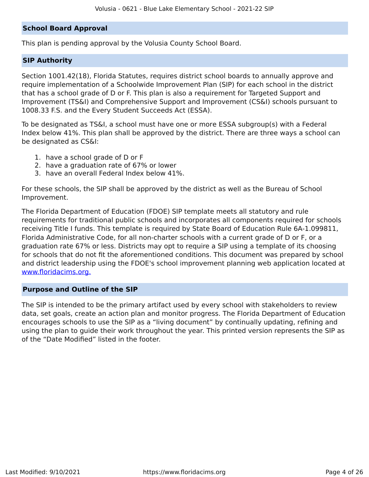#### **School Board Approval**

This plan is pending approval by the Volusia County School Board.

#### **SIP Authority**

Section 1001.42(18), Florida Statutes, requires district school boards to annually approve and require implementation of a Schoolwide Improvement Plan (SIP) for each school in the district that has a school grade of D or F. This plan is also a requirement for Targeted Support and Improvement (TS&I) and Comprehensive Support and Improvement (CS&I) schools pursuant to 1008.33 F.S. and the Every Student Succeeds Act (ESSA).

To be designated as TS&I, a school must have one or more ESSA subgroup(s) with a Federal Index below 41%. This plan shall be approved by the district. There are three ways a school can be designated as CS&I:

- 1. have a school grade of D or F
- 2. have a graduation rate of 67% or lower
- 3. have an overall Federal Index below 41%.

For these schools, the SIP shall be approved by the district as well as the Bureau of School Improvement.

The Florida Department of Education (FDOE) SIP template meets all statutory and rule requirements for traditional public schools and incorporates all components required for schools receiving Title I funds. This template is required by State Board of Education Rule 6A-1.099811, Florida Administrative Code, for all non-charter schools with a current grade of D or F, or a graduation rate 67% or less. Districts may opt to require a SIP using a template of its choosing for schools that do not fit the aforementioned conditions. This document was prepared by school and district leadership using the FDOE's school improvement planning web application located at [www.floridacims.org.](https://www.floridacims.org)

#### <span id="page-3-0"></span>**Purpose and Outline of the SIP**

The SIP is intended to be the primary artifact used by every school with stakeholders to review data, set goals, create an action plan and monitor progress. The Florida Department of Education encourages schools to use the SIP as a "living document" by continually updating, refining and using the plan to guide their work throughout the year. This printed version represents the SIP as of the "Date Modified" listed in the footer.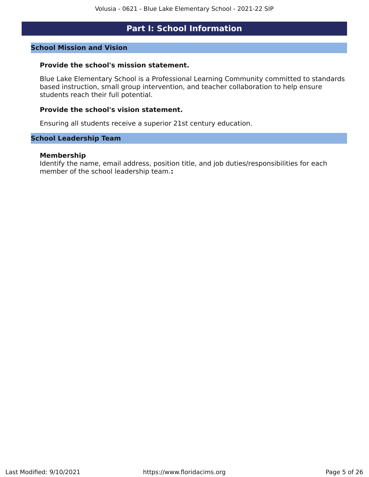### **Part I: School Information**

#### <span id="page-4-0"></span>**School Mission and Vision**

#### **Provide the school's mission statement.**

Blue Lake Elementary School is a Professional Learning Community committed to standards based instruction, small group intervention, and teacher collaboration to help ensure students reach their full potential.

#### **Provide the school's vision statement.**

Ensuring all students receive a superior 21st century education.

#### **School Leadership Team**

#### **Membership**

Identify the name, email address, position title, and job duties/responsibilities for each member of the school leadership team.**:**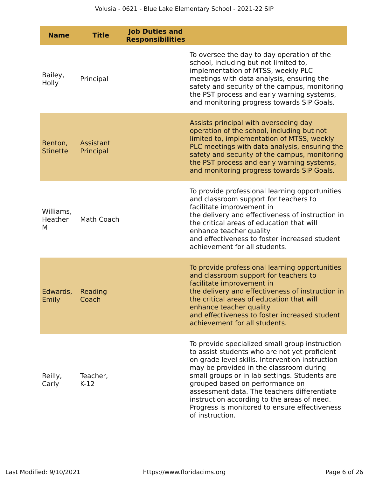| <b>Name</b>                | <b>Title</b>           | <b>Job Duties and</b><br><b>Responsibilities</b> |                                                                                                                                                                                                                                                                                                                                                                                                                                                     |
|----------------------------|------------------------|--------------------------------------------------|-----------------------------------------------------------------------------------------------------------------------------------------------------------------------------------------------------------------------------------------------------------------------------------------------------------------------------------------------------------------------------------------------------------------------------------------------------|
| Bailey,<br>Holly           | Principal              |                                                  | To oversee the day to day operation of the<br>school, including but not limited to,<br>implementation of MTSS, weekly PLC<br>meetings with data analysis, ensuring the<br>safety and security of the campus, monitoring<br>the PST process and early warning systems,<br>and monitoring progress towards SIP Goals.                                                                                                                                 |
| Benton,<br><b>Stinette</b> | Assistant<br>Principal |                                                  | Assists principal with overseeing day<br>operation of the school, including but not<br>limited to, implementation of MTSS, weekly<br>PLC meetings with data analysis, ensuring the<br>safety and security of the campus, monitoring<br>the PST process and early warning systems,<br>and monitoring progress towards SIP Goals.                                                                                                                     |
| Williams,<br>Heather<br>M  | Math Coach             |                                                  | To provide professional learning opportunities<br>and classroom support for teachers to<br>facilitate improvement in<br>the delivery and effectiveness of instruction in<br>the critical areas of education that will<br>enhance teacher quality<br>and effectiveness to foster increased student<br>achievement for all students.                                                                                                                  |
| Edwards,<br>Emily          | Reading<br>Coach       |                                                  | To provide professional learning opportunities<br>and classroom support for teachers to<br>facilitate improvement in<br>the delivery and effectiveness of instruction in<br>the critical areas of education that will<br>enhance teacher quality<br>and effectiveness to foster increased student<br>achievement for all students.                                                                                                                  |
| Reilly,<br>Carly           | Teacher,<br>$K-12$     |                                                  | To provide specialized small group instruction<br>to assist students who are not yet proficient<br>on grade level skills. Intervention instruction<br>may be provided in the classroom during<br>small groups or in lab settings. Students are<br>grouped based on performance on<br>assessment data. The teachers differentiate<br>instruction according to the areas of need.<br>Progress is monitored to ensure effectiveness<br>of instruction. |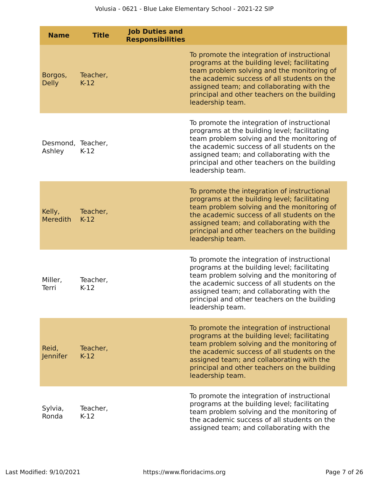| <b>Name</b>                 | <b>Title</b>       | <b>Job Duties and</b><br><b>Responsibilities</b> |                                                                                                                                                                                                                                                                                                           |
|-----------------------------|--------------------|--------------------------------------------------|-----------------------------------------------------------------------------------------------------------------------------------------------------------------------------------------------------------------------------------------------------------------------------------------------------------|
| Borgos,<br><b>Delly</b>     | Teacher,<br>$K-12$ |                                                  | To promote the integration of instructional<br>programs at the building level; facilitating<br>team problem solving and the monitoring of<br>the academic success of all students on the<br>assigned team; and collaborating with the<br>principal and other teachers on the building<br>leadership team. |
| Desmond, Teacher,<br>Ashley | $K-12$             |                                                  | To promote the integration of instructional<br>programs at the building level; facilitating<br>team problem solving and the monitoring of<br>the academic success of all students on the<br>assigned team; and collaborating with the<br>principal and other teachers on the building<br>leadership team. |
| Kelly,<br><b>Meredith</b>   | Teacher,<br>$K-12$ |                                                  | To promote the integration of instructional<br>programs at the building level; facilitating<br>team problem solving and the monitoring of<br>the academic success of all students on the<br>assigned team; and collaborating with the<br>principal and other teachers on the building<br>leadership team. |
| Miller,<br>Terri            | Teacher,<br>$K-12$ |                                                  | To promote the integration of instructional<br>programs at the building level; facilitating<br>team problem solving and the monitoring of<br>the academic success of all students on the<br>assigned team; and collaborating with the<br>principal and other teachers on the building<br>leadership team. |
| Reid,<br>Jennifer           | Teacher,<br>$K-12$ |                                                  | To promote the integration of instructional<br>programs at the building level; facilitating<br>team problem solving and the monitoring of<br>the academic success of all students on the<br>assigned team; and collaborating with the<br>principal and other teachers on the building<br>leadership team. |
| Sylvia,<br>Ronda            | Teacher,<br>$K-12$ |                                                  | To promote the integration of instructional<br>programs at the building level; facilitating<br>team problem solving and the monitoring of<br>the academic success of all students on the<br>assigned team; and collaborating with the                                                                     |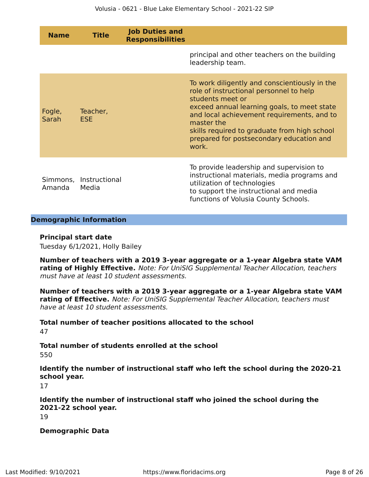| <b>Name</b>     | <b>Title</b>                    | <b>Job Duties and</b><br><b>Responsibilities</b> |                                                                                                                                                                                                                                                                                                                              |
|-----------------|---------------------------------|--------------------------------------------------|------------------------------------------------------------------------------------------------------------------------------------------------------------------------------------------------------------------------------------------------------------------------------------------------------------------------------|
|                 |                                 |                                                  | principal and other teachers on the building<br>leadership team.                                                                                                                                                                                                                                                             |
| Fogle,<br>Sarah | Teacher,<br><b>ESE</b>          |                                                  | To work diligently and conscientiously in the<br>role of instructional personnel to help<br>students meet or<br>exceed annual learning goals, to meet state<br>and local achievement requirements, and to<br>master the<br>skills required to graduate from high school<br>prepared for postsecondary education and<br>work. |
| Amanda          | Simmons, Instructional<br>Media |                                                  | To provide leadership and supervision to<br>instructional materials, media programs and<br>utilization of technologies<br>to support the instructional and media<br>functions of Volusia County Schools.                                                                                                                     |

#### **Demographic Information**

#### **Principal start date**

Tuesday 6/1/2021, Holly Bailey

**Number of teachers with a 2019 3-year aggregate or a 1-year Algebra state VAM rating of Highly Effective.** Note: For UniSIG Supplemental Teacher Allocation, teachers must have at least 10 student assessments.

**Number of teachers with a 2019 3-year aggregate or a 1-year Algebra state VAM rating of Effective.** Note: For UniSIG Supplemental Teacher Allocation, teachers must have at least 10 student assessments.

**Total number of teacher positions allocated to the school** 47

**Total number of students enrolled at the school**

550

**Identify the number of instructional staff who left the school during the 2020-21 school year.**

17

**Identify the number of instructional staff who joined the school during the 2021-22 school year.** 19

**Demographic Data**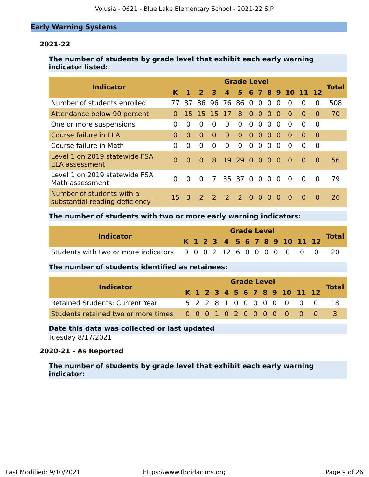#### **Early Warning Systems**

#### **2021-22**

#### **The number of students by grade level that exhibit each early warning indicator listed:**

| <b>Indicator</b>                                            | <b>Grade Level</b> |              |               |             |                               |                |           |                |                |                |                  |          |          |              |
|-------------------------------------------------------------|--------------------|--------------|---------------|-------------|-------------------------------|----------------|-----------|----------------|----------------|----------------|------------------|----------|----------|--------------|
|                                                             | K                  |              | $\mathbf{z}$  | 3           | $\Delta$                      | 5.             |           |                |                |                | 6 7 8 9 10 11 12 |          |          | <b>Total</b> |
| Number of students enrolled                                 | 77                 | 87           | 86.           |             | 96 76 86 0                    |                |           | $\overline{0}$ | $\overline{0}$ | $\Omega$       | $\Omega$         | $\Omega$ | 0        | 508          |
| Attendance below 90 percent                                 | $\Omega$           |              | 15 15 15 17   |             |                               | 8 <sup>°</sup> | $\bullet$ | $\bullet$      | $\Omega$       | 0              | $\Omega$         | $\Omega$ | $\Omega$ | 70           |
| One or more suspensions                                     | 0                  | $\Omega$     | 0             | $\Omega$    | $\Omega$                      | $\Omega$       | 0         | $\Omega$       | $\Omega$       | $\Omega$       | $\Omega$         | $\Omega$ | 0        |              |
| Course failure in ELA                                       | $\Omega$           | $\Omega$     | $\Omega$      | $\Omega$    | $\Omega$                      | $\Omega$       | $\Omega$  | $\Omega$       | $\Omega$       | 0              | $\Omega$         | $\Omega$ | $\Omega$ |              |
| Course failure in Math                                      | 0                  | $\Omega$     | 0             | $\Omega$    | $\Omega$                      | $\Omega$       | $\Omega$  | $\Omega$       | $\Omega$       | $\Omega$       | $\Omega$         | $\Omega$ | $\Omega$ |              |
| Level 1 on 2019 statewide FSA<br><b>ELA assessment</b>      | $\Omega$           | $\Omega$     | $\Omega$      | 8           | 19 29 0 0 0                   |                |           |                |                | $\overline{0}$ | $\Omega$         | $\Omega$ | $\Omega$ | 56           |
| Level 1 on 2019 statewide FSA<br>Math assessment            | 0                  | $\Omega$     | $\Omega$      | $7^{\circ}$ |                               | 35 37 0        |           | $\overline{0}$ | $\Omega$       | $\Omega$       | $\Omega$         | $\Omega$ | $\Omega$ | 79           |
| Number of students with a<br>substantial reading deficiency | 15.                | $\mathbf{B}$ | $\mathcal{P}$ |             | $\overline{2}$ $\overline{2}$ | $2\sqrt{0}$    |           | $\Omega$       | $\Omega$       | $\Omega$       | $\Omega$         | $\Omega$ | $\Omega$ | 26           |

#### **The number of students with two or more early warning indicators:**

| <b>Indicator</b>                                                   |  | <b>Grade Level</b> |  |  |  |  |  |  |  |  |  |  |                              |              |  |  |
|--------------------------------------------------------------------|--|--------------------|--|--|--|--|--|--|--|--|--|--|------------------------------|--------------|--|--|
|                                                                    |  |                    |  |  |  |  |  |  |  |  |  |  | K 1 2 3 4 5 6 7 8 9 10 11 12 | <b>Total</b> |  |  |
| Students with two or more indicators 0 0 0 2 12 6 0 0 0 0 0 0 0 20 |  |                    |  |  |  |  |  |  |  |  |  |  |                              |              |  |  |

#### **The number of students identified as retainees:**

|                                                                 |  |  |  |  | <b>Grade Level</b> |  |                              |                           |              |
|-----------------------------------------------------------------|--|--|--|--|--------------------|--|------------------------------|---------------------------|--------------|
| <b>Indicator</b>                                                |  |  |  |  |                    |  | K 1 2 3 4 5 6 7 8 9 10 11 12 |                           | <b>Total</b> |
| <b>Retained Students: Current Year</b>                          |  |  |  |  |                    |  |                              | 5 2 2 8 1 0 0 0 0 0 0 0 0 | -18          |
| Students retained two or more times 0 0 0 1 0 2 0 0 0 0 0 0 0 0 |  |  |  |  |                    |  |                              |                           |              |

### **Date this data was collected or last updated**

Tuesday 8/17/2021

#### **2020-21 - As Reported**

**The number of students by grade level that exhibit each early warning indicator:**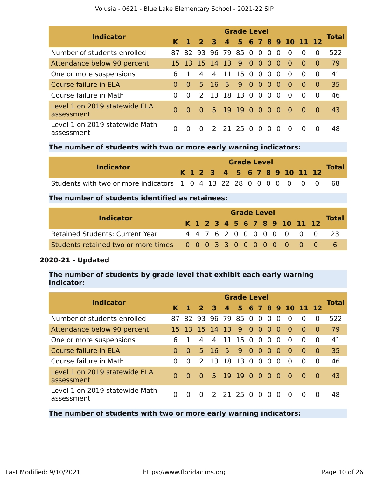| <b>Indicator</b>                             | <b>Grade Level</b> |                |                |                         |  |                 |                |  |                |                         |           |                      |          |              |
|----------------------------------------------|--------------------|----------------|----------------|-------------------------|--|-----------------|----------------|--|----------------|-------------------------|-----------|----------------------|----------|--------------|
|                                              |                    | K <sub>1</sub> | 2 <sub>3</sub> |                         |  |                 |                |  |                |                         |           | 4 5 6 7 8 9 10 11 12 |          | <b>Total</b> |
| Number of students enrolled                  |                    |                |                | 87 82 93 96 79 85 0 0 0 |  |                 |                |  |                | $\Omega$                | $\Omega$  | $\Omega$             | $\Omega$ | 522          |
| Attendance below 90 percent                  |                    |                |                | 15 13 15 14 13 9 0 0    |  |                 |                |  | $\overline{0}$ | - 0                     | -0        | $\Omega$             | $\Omega$ | 79           |
| One or more suspensions                      | 6                  |                | 4              |                         |  | 4 11 15 0 0 0   |                |  |                | $\overline{\mathbf{0}}$ | $\Omega$  | $\Omega$             | $\Omega$ | 41           |
| Course failure in ELA                        | $\Omega$           | $\Omega$       |                | 5 16 5                  |  | 9               | 0 <sub>0</sub> |  | $\bullet$      | - 0                     | $\Omega$  | $\Omega$             | $\Omega$ | 35           |
| Course failure in Math                       | $\Omega$           | $\Omega$       | $\mathcal{P}$  |                         |  | 13 18 13 0 0 0  |                |  |                | $\Omega$                | $\Omega$  | $\Omega$             | $\Omega$ | 46           |
| Level 1 on 2019 statewide ELA<br>assessment  | $\Omega$           | 0              | $\sim 0$       |                         |  | 5 19 19 0 0 0 0 |                |  |                |                         | $\bullet$ | - 0                  | $\Omega$ | 43           |
| Level 1 on 2019 statewide Math<br>assessment | 0                  | 0              | $\Omega$       |                         |  | 2 21 25 0 0 0   |                |  |                | $\Omega$                | - 0       | $\Omega$             | $\Omega$ | 48           |

#### **The number of students with two or more early warning indicators:**

| <b>Indicator</b>                                                     |  |  |  | <b>Grade Level</b> |  |  |  |                              |              |
|----------------------------------------------------------------------|--|--|--|--------------------|--|--|--|------------------------------|--------------|
|                                                                      |  |  |  |                    |  |  |  | K 1 2 3 4 5 6 7 8 9 10 11 12 | <b>Total</b> |
| Students with two or more indicators 1 0 4 13 22 28 0 0 0 0 0 0 0 68 |  |  |  |                    |  |  |  |                              |              |

#### **The number of students identified as retainees:**

| <b>Indicator</b>                                                |  |  |  | <b>Grade Level</b> |  |  |                              |                            |
|-----------------------------------------------------------------|--|--|--|--------------------|--|--|------------------------------|----------------------------|
|                                                                 |  |  |  |                    |  |  | K 1 2 3 4 5 6 7 8 9 10 11 12 | <b>Total</b>               |
| <b>Retained Students: Current Year</b>                          |  |  |  |                    |  |  |                              | 4 4 7 6 2 0 0 0 0 0 0 0 23 |
| Students retained two or more times 0 0 0 3 3 0 0 0 0 0 0 0 0 0 |  |  |  |                    |  |  |                              |                            |

#### **2020-21 - Updated**

#### **The number of students by grade level that exhibit each early warning indicator:**

| Indicator                                    | <b>Grade Level</b> |          |                |                        |                |               |  |  |  |          |                    |          |           |              |  |
|----------------------------------------------|--------------------|----------|----------------|------------------------|----------------|---------------|--|--|--|----------|--------------------|----------|-----------|--------------|--|
|                                              | K.                 |          | 2 <sup>3</sup> |                        | $\overline{4}$ |               |  |  |  |          | 5 6 7 8 9 10 11 12 |          |           | <b>Total</b> |  |
| Number of students enrolled                  | 87.                |          |                | 82 93 96 79 85 0 0 0   |                |               |  |  |  | $\Omega$ | $\Omega$           | $\Omega$ | $\Omega$  | 522          |  |
| Attendance below 90 percent                  |                    |          |                | 15 13 15 14 13 9 0 0 0 |                |               |  |  |  | $\Omega$ | $\Omega$           | $\Omega$ | $\bullet$ | 79           |  |
| One or more suspensions                      | 6                  |          | 4              | 4                      |                | 11 15 0 0 0   |  |  |  | $\Omega$ | $\Omega$           | $\Omega$ | $\Omega$  | 41           |  |
| Course failure in ELA                        | 0                  | $\Omega$ | 5.             | 16 5 9 0 0 0           |                |               |  |  |  | $\Omega$ | $\Omega$           | $\Omega$ | $\bullet$ | 35           |  |
| Course failure in Math                       | 0                  | $\Omega$ | $\mathcal{P}$  | 13 18 13 0 0 0         |                |               |  |  |  | $\Omega$ | $\Omega$           | $\Omega$ | $\Omega$  | 46           |  |
| Level 1 on 2019 statewide ELA<br>assessment  | $\Omega$           | $\Omega$ | $\Omega$       |                        |                | 5 19 19 0 0 0 |  |  |  | - 0      | - റ                | - 0      | $\Omega$  | 43           |  |
| Level 1 on 2019 statewide Math<br>assessment | <sup>0</sup>       |          | $\Omega$       |                        |                | 2 21 25 0 0 0 |  |  |  | $\Omega$ | $\Omega$           | 0        | 0         | 48           |  |

**The number of students with two or more early warning indicators:**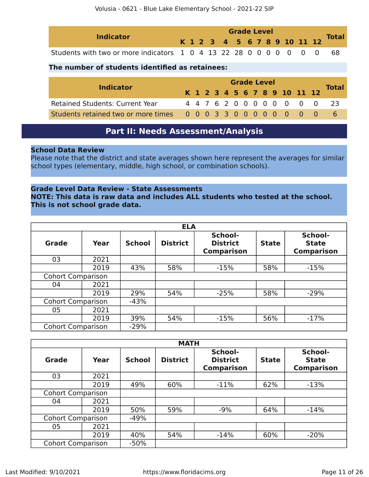| <b>Indicator</b>                                                     |  | <b>Grade Level</b> |  |  |  |  |  |  |  |  |                              | <b>Total</b> |  |
|----------------------------------------------------------------------|--|--------------------|--|--|--|--|--|--|--|--|------------------------------|--------------|--|
|                                                                      |  |                    |  |  |  |  |  |  |  |  | K 1 2 3 4 5 6 7 8 9 10 11 12 |              |  |
| Students with two or more indicators 1 0 4 13 22 28 0 0 0 0 0 0 0 68 |  |                    |  |  |  |  |  |  |  |  |                              |              |  |

#### **The number of students identified as retainees:**

|                                                                 | <b>Grade Level</b> |  |  |  |  |  |  |  |  |  |                              |  |                           |              |
|-----------------------------------------------------------------|--------------------|--|--|--|--|--|--|--|--|--|------------------------------|--|---------------------------|--------------|
| <b>Indicator</b>                                                |                    |  |  |  |  |  |  |  |  |  | K 1 2 3 4 5 6 7 8 9 10 11 12 |  |                           | <b>Total</b> |
| <b>Retained Students: Current Year</b>                          |                    |  |  |  |  |  |  |  |  |  |                              |  | 4 4 7 6 2 0 0 0 0 0 0 0 0 | - 23         |
| Students retained two or more times 0 0 0 3 3 0 0 0 0 0 0 0 0 0 |                    |  |  |  |  |  |  |  |  |  |                              |  |                           |              |

### **Part II: Needs Assessment/Analysis**

#### <span id="page-10-0"></span>**School Data Review**

Please note that the district and state averages shown here represent the averages for similar school types (elementary, middle, high school, or combination schools).

#### **Grade Level Data Review - State Assessments**

**NOTE: This data is raw data and includes ALL students who tested at the school. This is not school grade data.**

|                          |      |               | <b>ELA</b>      |                                                 |              |                                              |
|--------------------------|------|---------------|-----------------|-------------------------------------------------|--------------|----------------------------------------------|
| <b>Grade</b>             | Year | <b>School</b> | <b>District</b> | School-<br><b>District</b><br><b>Comparison</b> | <b>State</b> | School-<br><b>State</b><br><b>Comparison</b> |
| 03                       | 2021 |               |                 |                                                 |              |                                              |
|                          | 2019 | 43%           | 58%             | $-15%$                                          | 58%          | $-15%$                                       |
| <b>Cohort Comparison</b> |      |               |                 |                                                 |              |                                              |
| 04                       | 2021 |               |                 |                                                 |              |                                              |
|                          | 2019 | 29%           | 54%             | $-25%$                                          | 58%          | $-29%$                                       |
| <b>Cohort Comparison</b> |      | $-43%$        |                 |                                                 |              |                                              |
| 05                       | 2021 |               |                 |                                                 |              |                                              |
|                          | 2019 | 39%           | 54%             | $-15%$                                          | 56%          | $-17%$                                       |
| <b>Cohort Comparison</b> |      | $-29%$        |                 |                                                 |              |                                              |

|                          |      |               | <b>MATH</b>     |                                                 |              |                                              |
|--------------------------|------|---------------|-----------------|-------------------------------------------------|--------------|----------------------------------------------|
| Grade                    | Year | <b>School</b> | <b>District</b> | School-<br><b>District</b><br><b>Comparison</b> | <b>State</b> | School-<br><b>State</b><br><b>Comparison</b> |
| 03                       | 2021 |               |                 |                                                 |              |                                              |
|                          | 2019 | 49%           | 60%             | $-11%$                                          | 62%          | $-13%$                                       |
| <b>Cohort Comparison</b> |      |               |                 |                                                 |              |                                              |
| 04                       | 2021 |               |                 |                                                 |              |                                              |
|                          | 2019 | 50%           | 59%             | $-9%$                                           | 64%          | $-14%$                                       |
| <b>Cohort Comparison</b> |      | $-49%$        |                 |                                                 |              |                                              |
| 05                       | 2021 |               |                 |                                                 |              |                                              |
|                          | 2019 | 40%           | 54%             | $-14%$                                          | 60%          | $-20%$                                       |
| <b>Cohort Comparison</b> |      | $-50%$        |                 |                                                 |              |                                              |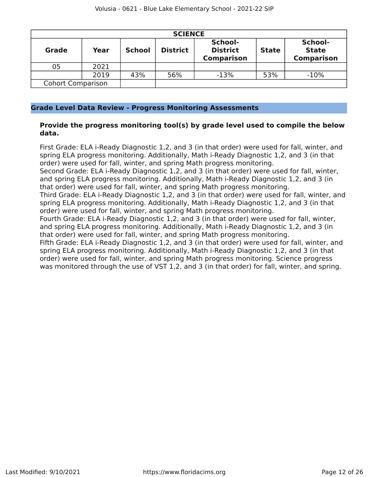|                          | <b>SCIENCE</b> |               |                 |                                                 |              |                                              |  |  |  |  |  |  |
|--------------------------|----------------|---------------|-----------------|-------------------------------------------------|--------------|----------------------------------------------|--|--|--|--|--|--|
| <b>Grade</b>             | Year           | <b>School</b> | <b>District</b> | School-<br><b>District</b><br><b>Comparison</b> | <b>State</b> | School-<br><b>State</b><br><b>Comparison</b> |  |  |  |  |  |  |
| 05                       | 2021           |               |                 |                                                 |              |                                              |  |  |  |  |  |  |
|                          | 2019           | 43%           | 56%             | $-13%$                                          | 53%          | $-10%$                                       |  |  |  |  |  |  |
| <b>Cohort Comparison</b> |                |               |                 |                                                 |              |                                              |  |  |  |  |  |  |

#### **Grade Level Data Review - Progress Monitoring Assessments**

#### **Provide the progress monitoring tool(s) by grade level used to compile the below data.**

First Grade: ELA i-Ready Diagnostic 1,2, and 3 (in that order) were used for fall, winter, and spring ELA progress monitoring. Additionally, Math i-Ready Diagnostic 1,2, and 3 (in that order) were used for fall, winter, and spring Math progress monitoring.

Second Grade: ELA i-Ready Diagnostic 1,2, and 3 (in that order) were used for fall, winter, and spring ELA progress monitoring. Additionally, Math i-Ready Diagnostic 1,2, and 3 (in that order) were used for fall, winter, and spring Math progress monitoring.

Third Grade: ELA i-Ready Diagnostic 1,2, and 3 (in that order) were used for fall, winter, and spring ELA progress monitoring. Additionally, Math i-Ready Diagnostic 1,2, and 3 (in that order) were used for fall, winter, and spring Math progress monitoring.

Fourth Grade: ELA i-Ready Diagnostic 1,2, and 3 (in that order) were used for fall, winter, and spring ELA progress monitoring. Additionally, Math i-Ready Diagnostic 1,2, and 3 (in that order) were used for fall, winter, and spring Math progress monitoring.

Fifth Grade: ELA i-Ready Diagnostic 1,2, and 3 (in that order) were used for fall, winter, and spring ELA progress monitoring. Additionally, Math i-Ready Diagnostic 1,2, and 3 (in that order) were used for fall, winter, and spring Math progress monitoring. Science progress was monitored through the use of VST 1,2, and 3 (in that order) for fall, winter, and spring.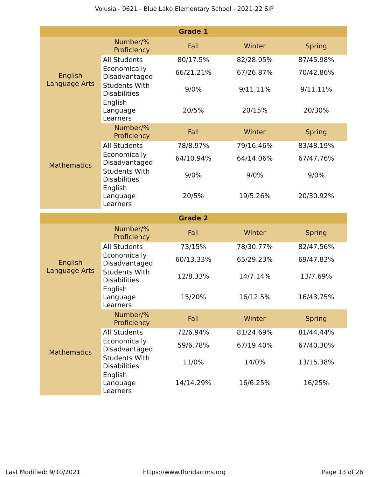|                          |                                                        | <b>Grade 1</b> |           |               |
|--------------------------|--------------------------------------------------------|----------------|-----------|---------------|
|                          | Number/%<br>Proficiency                                | Fall           | Winter    | <b>Spring</b> |
|                          | <b>All Students</b>                                    | 80/17.5%       | 82/28.05% | 87/45.98%     |
| English<br>Language Arts | Economically<br>Disadvantaged                          | 66/21.21%      | 67/26.87% | 70/42.86%     |
|                          | <b>Students With</b><br><b>Disabilities</b>            | 9/0%           | 9/11.11%  | 9/11.11%      |
|                          | English<br>Language<br>Learners                        | 20/5%          | 20/15%    | 20/30%        |
|                          | Number/%<br>Proficiency                                | Fall           | Winter    | <b>Spring</b> |
|                          | <b>All Students</b>                                    | 78/8.97%       | 79/16.46% | 83/48.19%     |
| <b>Mathematics</b>       | Economically<br>Disadvantaged                          | 64/10.94%      | 64/14.06% | 67/47.76%     |
|                          | <b>Students With</b><br><b>Disabilities</b>            | 9/0%           | 9/0%      | 9/0%          |
|                          | English<br>Language<br>Learners                        | 20/5%          | 19/5.26%  | 20/30.92%     |
|                          |                                                        |                |           |               |
|                          |                                                        | <b>Grade 2</b> |           |               |
|                          | Number/%<br>Proficiency                                | Fall           | Winter    | <b>Spring</b> |
|                          | <b>All Students</b>                                    | 73/15%         | 78/30.77% | 82/47.56%     |
| English                  | Economically<br>Disadvantaged                          | 60/13.33%      | 65/29.23% | 69/47.83%     |
| Language Arts            | <b>Students With</b><br><b>Disabilities</b>            | 12/8.33%       | 14/7.14%  | 13/7.69%      |
|                          | English<br>Language<br>Learners                        | 15/20%         | 16/12.5%  | 16/43.75%     |
|                          | Number/%<br>Proficiency                                | Fall           | Winter    | <b>Spring</b> |
|                          | <b>All Students</b>                                    | 72/6.94%       | 81/24.69% | 81/44.44%     |
| <b>Mathematics</b>       | Economically<br>Disadvantaged                          | 59/6.78%       | 67/19.40% | 67/40.30%     |
|                          | <b>Students With</b><br><b>Disabilities</b><br>English | 11/0%          | 14/0%     | 13/15.38%     |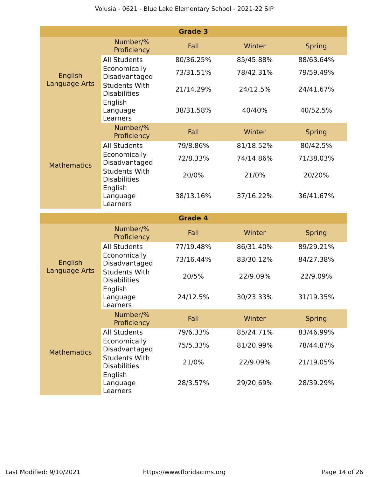|                    |                                                        | <b>Grade 3</b> |           |               |
|--------------------|--------------------------------------------------------|----------------|-----------|---------------|
|                    | Number/%<br>Proficiency                                | Fall           | Winter    | <b>Spring</b> |
|                    | <b>All Students</b>                                    | 80/36.25%      | 85/45.88% | 88/63.64%     |
| English            | Economically<br>Disadvantaged                          | 73/31.51%      | 78/42.31% | 79/59.49%     |
| Language Arts      | <b>Students With</b><br><b>Disabilities</b><br>English | 21/14.29%      | 24/12.5%  | 24/41.67%     |
|                    | Language<br>Learners                                   | 38/31.58%      | 40/40%    | 40/52.5%      |
|                    | Number/%<br>Proficiency                                | Fall           | Winter    | <b>Spring</b> |
|                    | <b>All Students</b>                                    | 79/8.86%       | 81/18.52% | 80/42.5%      |
| <b>Mathematics</b> | Economically<br>Disadvantaged                          | 72/8.33%       | 74/14.86% | 71/38.03%     |
|                    | <b>Students With</b><br><b>Disabilities</b>            | 20/0%          | 21/0%     | 20/20%        |
|                    | English<br>Language<br>Learners                        | 38/13.16%      | 37/16.22% | 36/41.67%     |
|                    |                                                        |                |           |               |
|                    |                                                        | <b>Grade 4</b> |           |               |
|                    | Number/%<br>Proficiency                                | Fall           | Winter    | <b>Spring</b> |
|                    | <b>All Students</b>                                    | 77/19.48%      | 86/31.40% | 89/29.21%     |
| English            | Economically<br>Disadvantaged                          | 73/16.44%      | 83/30.12% | 84/27.38%     |
| Language Arts      | <b>Students With</b><br><b>Disabilities</b>            | 20/5%          | 22/9.09%  | 22/9.09%      |
|                    | English<br>Language<br>Learners                        | 24/12.5%       | 30/23.33% | 31/19.35%     |
|                    | Number/%<br>Proficiency                                | Fall           | Winter    | <b>Spring</b> |
|                    | <b>All Students</b>                                    | 79/6.33%       | 85/24.71% | 83/46.99%     |
| <b>Mathematics</b> | Economically<br>Disadvantaged                          | 75/5.33%       | 81/20.99% | 78/44.87%     |
|                    | <b>Students With</b><br><b>Disabilities</b><br>English | 21/0%          | 22/9.09%  | 21/19.05%     |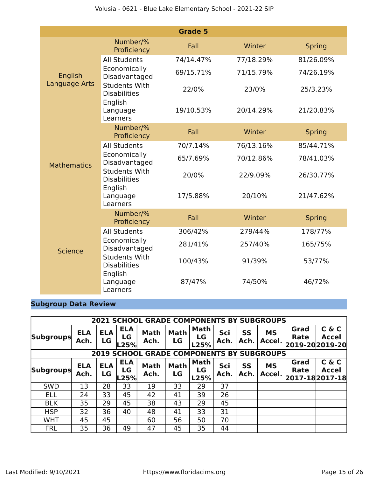|                    |                                                        | <b>Grade 5</b> |           |               |
|--------------------|--------------------------------------------------------|----------------|-----------|---------------|
|                    | Number/%<br>Proficiency                                | Fall           | Winter    | <b>Spring</b> |
|                    | <b>All Students</b>                                    | 74/14.47%      | 77/18.29% | 81/26.09%     |
| English            | Economically<br>Disadvantaged                          | 69/15.71%      | 71/15.79% | 74/26.19%     |
| Language Arts      | <b>Students With</b><br><b>Disabilities</b><br>English | 22/0%          | 23/0%     | 25/3.23%      |
|                    | Language<br>Learners                                   | 19/10.53%      | 20/14.29% | 21/20.83%     |
|                    | Number/%<br>Proficiency                                | Fall           | Winter    | <b>Spring</b> |
|                    | <b>All Students</b>                                    | 70/7.14%       | 76/13.16% | 85/44.71%     |
| <b>Mathematics</b> | Economically<br>Disadvantaged                          | 65/7.69%       | 70/12.86% | 78/41.03%     |
|                    | <b>Students With</b><br><b>Disabilities</b>            | 20/0%          | 22/9.09%  | 26/30.77%     |
|                    | English<br>Language<br>Learners                        | 17/5.88%       | 20/10%    | 21/47.62%     |
|                    | Number/%<br>Proficiency                                | Fall           | Winter    | <b>Spring</b> |
|                    | <b>All Students</b>                                    | 306/42%        | 279/44%   | 178/77%       |
| <b>Science</b>     | Economically<br>Disadvantaged                          | 281/41%        | 257/40%   | 165/75%       |
|                    | <b>Students With</b><br><b>Disabilities</b>            | 100/43%        | 91/39%    | 53/77%        |
|                    | English<br>Language<br>Learners                        | 87/47%         | 74/50%    | 46/72%        |

### **Subgroup Data Review**

|                  | <b>2021 SCHOOL GRADE COMPONENTS BY SUBGROUPS</b> |                  |                          |                                             |                   |                           |             |                   |                     |                                        |                       |
|------------------|--------------------------------------------------|------------------|--------------------------|---------------------------------------------|-------------------|---------------------------|-------------|-------------------|---------------------|----------------------------------------|-----------------------|
| <b>Subgroups</b> | <b>ELA</b><br>Ach.                               | <b>ELA</b><br>LG | <b>ELA</b><br>LG<br>L25% | <b>Math</b><br>Ach.                         | <b>Math</b><br>LG | Math<br>LG<br>L25%        | Sci<br>Ach. | <b>SS</b><br>Ach. | <b>MS</b><br>Accel. | Grad<br><b>Rate</b><br>2019-20 2019-20 | C & C<br><b>Accel</b> |
|                  |                                                  | 2019             |                          | <b>SCHOOL GRADE COMPONENTS BY SUBGROUPS</b> |                   |                           |             |                   |                     |                                        |                       |
| <b>Subgroups</b> | <b>ELA</b><br>Ach.                               | <b>ELA</b><br>LG | <b>ELA</b><br>LG<br>L25% | <b>Math</b><br>Ach.                         | <b>Math</b><br>LG | <b>Math</b><br>LG<br>L25% | Sci<br>Ach. | <b>SS</b><br>Ach. | <b>MS</b><br>Accel. | Grad<br>Rate<br>2017-182017-18         | C & C<br><b>Accel</b> |
| <b>SWD</b>       | 13                                               | 28               | 33                       | 19                                          | 33                | 29                        | 37          |                   |                     |                                        |                       |
| <b>ELL</b>       | 24                                               | 33               | 45                       | 42                                          | 41                | 39                        | 26          |                   |                     |                                        |                       |
| <b>BLK</b>       | 35                                               | 29               | 45                       | 38                                          | 43                | 29                        | 45          |                   |                     |                                        |                       |
| <b>HSP</b>       | 32                                               | 36               | 40                       | 48                                          | 41                | 33                        | 31          |                   |                     |                                        |                       |
| <b>WHT</b>       | 45                                               | 45               |                          | 60                                          | 56                | 50                        | 70          |                   |                     |                                        |                       |
| <b>FRL</b>       | 35                                               | 36               | 49                       | 47                                          | 45                | 35                        | 44          |                   |                     |                                        |                       |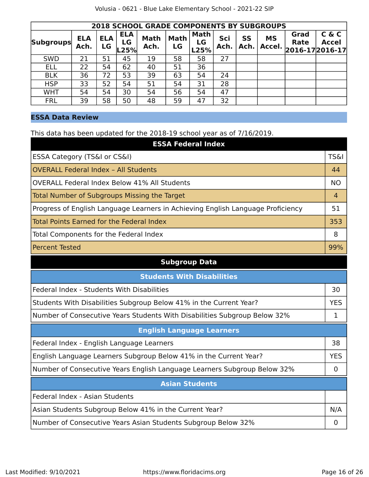|                  | <b>2018 SCHOOL GRADE COMPONENTS BY SUBGROUPS</b> |                  |                          |                     |                   |                           |             |                   |                     |                     |                                              |
|------------------|--------------------------------------------------|------------------|--------------------------|---------------------|-------------------|---------------------------|-------------|-------------------|---------------------|---------------------|----------------------------------------------|
| <b>Subgroups</b> | <b>ELA</b><br>Ach.                               | <b>ELA</b><br>LG | <b>ELA</b><br>LG<br>L25% | <b>Math</b><br>Ach. | <b>Math</b><br>LG | <b>Math</b><br>LG<br>L25% | Sci<br>Ach. | <b>SS</b><br>Ach. | <b>MS</b><br>Accel. | Grad<br><b>Rate</b> | C & C<br><b>Accel</b><br>$ 2016-17 2016-17 $ |
| <b>SWD</b>       | 21                                               | 51               | 45                       | 19                  | 58                | 58                        | 27          |                   |                     |                     |                                              |
| <b>ELL</b>       | 22                                               | 54               | 62                       | 40                  | 51                | 36                        |             |                   |                     |                     |                                              |
| <b>BLK</b>       | 36                                               | 72               | 53                       | 39                  | 63                | 54                        | 24          |                   |                     |                     |                                              |
| <b>HSP</b>       | 33                                               | 52               | 54                       | 51                  | 54                | 31                        | 28          |                   |                     |                     |                                              |
| <b>WHT</b>       | 54                                               | 54               | 30                       | 54                  | 56                | 54                        | 47          |                   |                     |                     |                                              |
| <b>FRL</b>       | 39                                               | 58               | 50                       | 48                  | 59                | 47                        | 32          |                   |                     |                     |                                              |

#### **ESSA Data Review**

This data has been updated for the 2018-19 school year as of 7/16/2019.

| <b>ESSA Federal Index</b>                                                       |                 |
|---------------------------------------------------------------------------------|-----------------|
| ESSA Category (TS&I or CS&I)                                                    | <b>TS&amp;I</b> |
| <b>OVERALL Federal Index - All Students</b>                                     | 44              |
| <b>OVERALL Federal Index Below 41% All Students</b>                             | <b>NO</b>       |
| <b>Total Number of Subgroups Missing the Target</b>                             | 4               |
| Progress of English Language Learners in Achieving English Language Proficiency | 51              |
| <b>Total Points Earned for the Federal Index</b>                                | 353             |
| Total Components for the Federal Index                                          | 8               |
| <b>Percent Tested</b>                                                           | 99%             |
| <b>Subgroup Data</b>                                                            |                 |
| <b>Students With Disabilities</b>                                               |                 |
| Federal Index - Students With Disabilities                                      | 30              |
| Students With Disabilities Subgroup Below 41% in the Current Year?              | <b>YES</b>      |
| Number of Consecutive Years Students With Disabilities Subgroup Below 32%       | 1               |
| <b>English Language Learners</b>                                                |                 |
| Federal Index - English Language Learners                                       | 38              |
| English Language Learners Subgroup Below 41% in the Current Year?               | <b>YES</b>      |
| Number of Consecutive Years English Language Learners Subgroup Below 32%        | $\mathbf 0$     |
| <b>Asian Students</b>                                                           |                 |
| Federal Index - Asian Students                                                  |                 |
| Asian Students Subgroup Below 41% in the Current Year?                          | N/A             |
| Number of Consecutive Years Asian Students Subgroup Below 32%                   | $\overline{0}$  |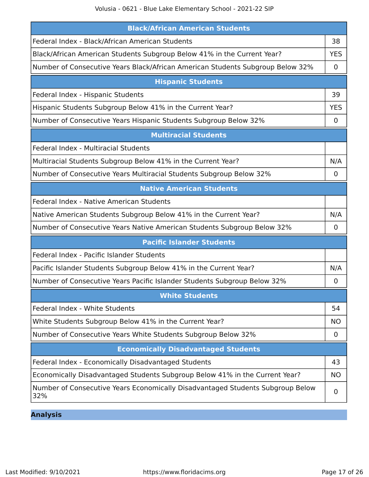Volusia - 0621 - Blue Lake Elementary School - 2021-22 SIP

| <b>Black/African American Students</b>                                                |             |
|---------------------------------------------------------------------------------------|-------------|
| Federal Index - Black/African American Students                                       | 38          |
| Black/African American Students Subgroup Below 41% in the Current Year?               | <b>YES</b>  |
| Number of Consecutive Years Black/African American Students Subgroup Below 32%        | 0           |
| <b>Hispanic Students</b>                                                              |             |
| Federal Index - Hispanic Students                                                     | 39          |
| Hispanic Students Subgroup Below 41% in the Current Year?                             | <b>YES</b>  |
| Number of Consecutive Years Hispanic Students Subgroup Below 32%                      | 0           |
| <b>Multiracial Students</b>                                                           |             |
| Federal Index - Multiracial Students                                                  |             |
| Multiracial Students Subgroup Below 41% in the Current Year?                          | N/A         |
| Number of Consecutive Years Multiracial Students Subgroup Below 32%                   | 0           |
| <b>Native American Students</b>                                                       |             |
| Federal Index - Native American Students                                              |             |
| Native American Students Subgroup Below 41% in the Current Year?                      | N/A         |
| Number of Consecutive Years Native American Students Subgroup Below 32%               | $\mathbf 0$ |
| <b>Pacific Islander Students</b>                                                      |             |
| Federal Index - Pacific Islander Students                                             |             |
| Pacific Islander Students Subgroup Below 41% in the Current Year?                     | N/A         |
| Number of Consecutive Years Pacific Islander Students Subgroup Below 32%              | 0           |
| <b>White Students</b>                                                                 |             |
| Federal Index - White Students                                                        | 54          |
| White Students Subgroup Below 41% in the Current Year?                                | NO.         |
| Number of Consecutive Years White Students Subgroup Below 32%                         | $\mathbf 0$ |
| <b>Economically Disadvantaged Students</b>                                            |             |
| Federal Index - Economically Disadvantaged Students                                   | 43          |
| Economically Disadvantaged Students Subgroup Below 41% in the Current Year?           | NO.         |
| Number of Consecutive Years Economically Disadvantaged Students Subgroup Below<br>32% | 0           |

**Analysis**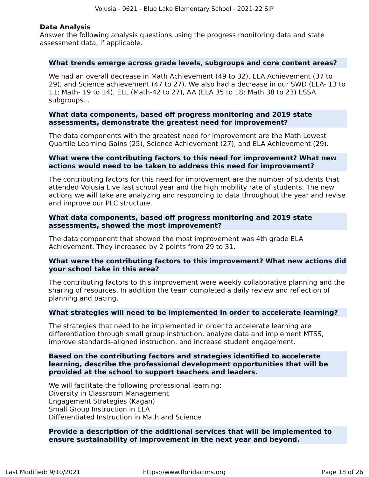#### **Data Analysis**

Answer the following analysis questions using the progress monitoring data and state assessment data, if applicable.

#### **What trends emerge across grade levels, subgroups and core content areas?**

We had an overall decrease in Math Achievement (49 to 32), ELA Achievement (37 to 29), and Science achievement (47 to 27). We also had a decrease in our SWD (ELA- 13 to 11; Math- 19 to 14), ELL (Math-42 to 27), AA (ELA 35 to 18; Math 38 to 23) ESSA subgroups. .

#### **What data components, based off progress monitoring and 2019 state assessments, demonstrate the greatest need for improvement?**

The data components with the greatest need for improvement are the Math Lowest Quartile Learning Gains (25), Science Achievement (27), and ELA Achievement (29).

#### **What were the contributing factors to this need for improvement? What new actions would need to be taken to address this need for improvement?**

The contributing factors for this need for improvement are the number of students that attended Volusia Live last school year and the high mobility rate of students. The new actions we will take are analyzing and responding to data throughout the year and revise and improve our PLC structure.

#### **What data components, based off progress monitoring and 2019 state assessments, showed the most improvement?**

The data component that showed the most improvement was 4th grade ELA Achievement. They increased by 2 points from 29 to 31.

#### **What were the contributing factors to this improvement? What new actions did your school take in this area?**

The contributing factors to this improvement were weekly collaborative planning and the sharing of resources. In addition the team completed a daily review and reflection of planning and pacing.

#### **What strategies will need to be implemented in order to accelerate learning?**

The strategies that need to be implemented in order to accelerate learning are differentiation through small group instruction, analyze data and implement MTSS, improve standards-aligned instruction, and increase student engagement.

#### **Based on the contributing factors and strategies identified to accelerate learning, describe the professional development opportunities that will be provided at the school to support teachers and leaders.**

We will facilitate the following professional learning: Diversity in Classroom Management Engagement Strategies (Kagan) Small Group Instruction in ELA Differentiated Instruction in Math and Science

#### **Provide a description of the additional services that will be implemented to ensure sustainability of improvement in the next year and beyond.**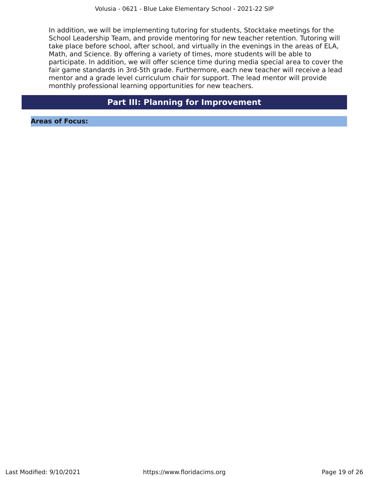In addition, we will be implementing tutoring for students, Stocktake meetings for the School Leadership Team, and provide mentoring for new teacher retention. Tutoring will take place before school, after school, and virtually in the evenings in the areas of ELA, Math, and Science. By offering a variety of times, more students will be able to participate. In addition, we will offer science time during media special area to cover the fair game standards in 3rd-5th grade. Furthermore, each new teacher will receive a lead mentor and a grade level curriculum chair for support. The lead mentor will provide monthly professional learning opportunities for new teachers.

### **Part III: Planning for Improvement**

<span id="page-18-0"></span>**Areas of Focus:**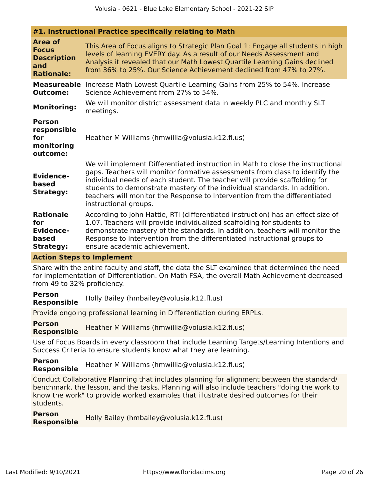| #1. Instructional Practice specifically relating to Math                         |                                                                                                                                                                                                                                                                                                                                                                                                                                   |  |  |  |
|----------------------------------------------------------------------------------|-----------------------------------------------------------------------------------------------------------------------------------------------------------------------------------------------------------------------------------------------------------------------------------------------------------------------------------------------------------------------------------------------------------------------------------|--|--|--|
| <b>Area of</b><br><b>Focus</b><br><b>Description</b><br>and<br><b>Rationale:</b> | This Area of Focus aligns to Strategic Plan Goal 1: Engage all students in high<br>levels of learning EVERY day. As a result of our Needs Assessment and<br>Analysis it revealed that our Math Lowest Quartile Learning Gains declined<br>from 36% to 25%. Our Science Achievement declined from 47% to 27%.                                                                                                                      |  |  |  |
| <b>Outcome:</b><br><b>Monitoring:</b>                                            | <b>Measureable</b> Increase Math Lowest Quartile Learning Gains from 25% to 54%. Increase<br>Science Achievement from 27% to 54%.<br>We will monitor district assessment data in weekly PLC and monthly SLT                                                                                                                                                                                                                       |  |  |  |
| <b>Person</b><br>responsible<br>for<br>monitoring<br>outcome:                    | meetings.<br>Heather M Williams (hmwillia@volusia.k12.fl.us)                                                                                                                                                                                                                                                                                                                                                                      |  |  |  |
| <b>Evidence-</b><br>based<br><b>Strategy:</b>                                    | We will implement Differentiated instruction in Math to close the instructional<br>gaps. Teachers will monitor formative assessments from class to identify the<br>individual needs of each student. The teacher will provide scaffolding for<br>students to demonstrate mastery of the individual standards. In addition,<br>teachers will monitor the Response to Intervention from the differentiated<br>instructional groups. |  |  |  |
| <b>Rationale</b><br>for<br><b>Evidence-</b><br>based<br><b>Strategy:</b>         | According to John Hattie, RTI (differentiated instruction) has an effect size of<br>1.07. Teachers will provide individualized scaffolding for students to<br>demonstrate mastery of the standards. In addition, teachers will monitor the<br>Response to Intervention from the differentiated instructional groups to<br>ensure academic achievement.                                                                            |  |  |  |

#### **Action Steps to Implement**

Share with the entire faculty and staff, the data the SLT examined that determined the need for implementation of Differentiation. On Math FSA, the overall Math Achievement decreased from 49 to 32% proficiency.

**Person Responsible** Holly Bailey (hmbailey@volusia.k12.fl.us)

Provide ongoing professional learning in Differentiation during ERPLs.

**Person Responsible** Heather M Williams (hmwillia@volusia.k12.fl.us)

Use of Focus Boards in every classroom that include Learning Targets/Learning Intentions and Success Criteria to ensure students know what they are learning.

**Person Responsible** Heather M Williams (hmwillia@volusia.k12.fl.us)

Conduct Collaborative Planning that includes planning for alignment between the standard/ benchmark, the lesson, and the tasks. Planning will also include teachers "doing the work to know the work" to provide worked examples that illustrate desired outcomes for their students.

**Person Responsible** Holly Bailey (hmbailey@volusia.k12.fl.us)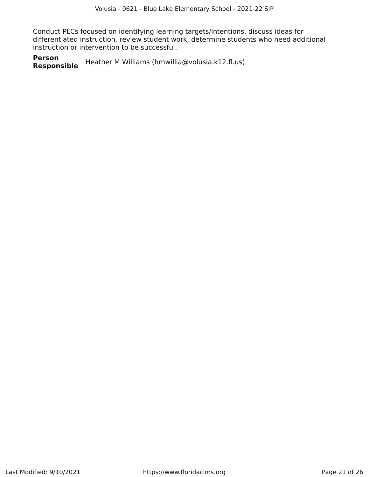Conduct PLCs focused on identifying learning targets/intentions, discuss ideas for differentiated instruction, review student work, determine students who need additional instruction or intervention to be successful.

**Person Responsible** Heather M Williams (hmwillia@volusia.k12.fl.us)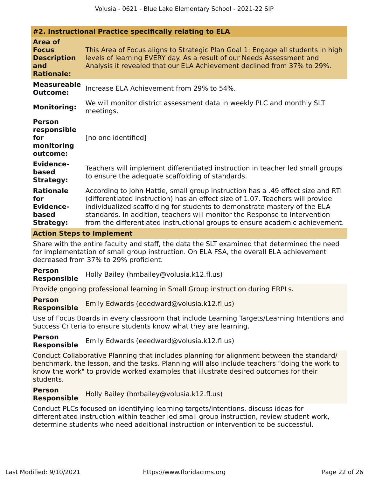| #2. Instructional Practice specifically relating to ELA                          |                                                                                                                                                                                                                                                                                                                                                                                                              |  |  |  |
|----------------------------------------------------------------------------------|--------------------------------------------------------------------------------------------------------------------------------------------------------------------------------------------------------------------------------------------------------------------------------------------------------------------------------------------------------------------------------------------------------------|--|--|--|
| <b>Area of</b><br><b>Focus</b><br><b>Description</b><br>and<br><b>Rationale:</b> | This Area of Focus aligns to Strategic Plan Goal 1: Engage all students in high<br>levels of learning EVERY day. As a result of our Needs Assessment and<br>Analysis it revealed that our ELA Achievement declined from 37% to 29%.                                                                                                                                                                          |  |  |  |
| <b>Measureable</b><br><b>Outcome:</b>                                            | Increase ELA Achievement from 29% to 54%.                                                                                                                                                                                                                                                                                                                                                                    |  |  |  |
| <b>Monitoring:</b>                                                               | We will monitor district assessment data in weekly PLC and monthly SLT<br>meetings.                                                                                                                                                                                                                                                                                                                          |  |  |  |
| <b>Person</b><br>responsible<br>for<br>monitoring<br>outcome:                    | [no one identified]                                                                                                                                                                                                                                                                                                                                                                                          |  |  |  |
| <b>Evidence-</b><br>based<br><b>Strategy:</b>                                    | Teachers will implement differentiated instruction in teacher led small groups<br>to ensure the adequate scaffolding of standards.                                                                                                                                                                                                                                                                           |  |  |  |
| <b>Rationale</b><br>for<br><b>Evidence-</b><br>based<br><b>Strategy:</b>         | According to John Hattie, small group instruction has a .49 effect size and RTI<br>(differentiated instruction) has an effect size of 1.07. Teachers will provide<br>individualized scaffolding for students to demonstrate mastery of the ELA<br>standards. In addition, teachers will monitor the Response to Intervention<br>from the differentiated instructional groups to ensure academic achievement. |  |  |  |

#### **Action Steps to Implement**

Share with the entire faculty and staff, the data the SLT examined that determined the need for implementation of small group instruction. On ELA FSA, the overall ELA achievement decreased from 37% to 29% proficient.

#### **Person**

**Responsible** Holly Bailey (hmbailey@volusia.k12.fl.us)

Provide ongoing professional learning in Small Group instruction during ERPLs.

**Person Responsible** Emily Edwards (eeedward@volusia.k12.fl.us)

Use of Focus Boards in every classroom that include Learning Targets/Learning Intentions and Success Criteria to ensure students know what they are learning.

**Person Responsible** Emily Edwards (eeedward@volusia.k12.fl.us)

Conduct Collaborative Planning that includes planning for alignment between the standard/ benchmark, the lesson, and the tasks. Planning will also include teachers "doing the work to know the work" to provide worked examples that illustrate desired outcomes for their students.

**Person Responsible** Holly Bailey (hmbailey@volusia.k12.fl.us)

Conduct PLCs focused on identifying learning targets/intentions, discuss ideas for differentiated instruction within teacher led small group instruction, review student work, determine students who need additional instruction or intervention to be successful.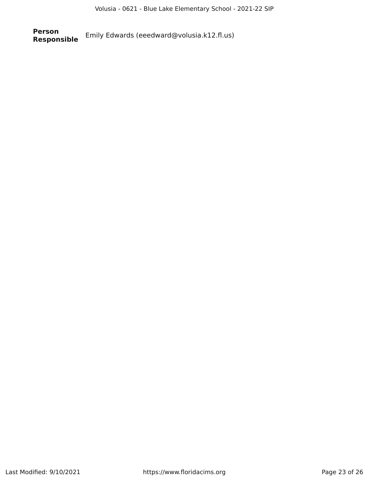**Person** Emily Edwards (eeedward@volusia.k12.fl.us)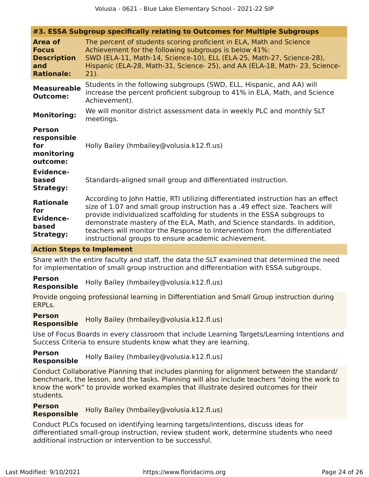| #3. ESSA Subgroup specifically relating to Outcomes for Multiple Subgroups       |                                                                                                                                                                                                                                                                                                                                                                                                                                                                  |  |  |
|----------------------------------------------------------------------------------|------------------------------------------------------------------------------------------------------------------------------------------------------------------------------------------------------------------------------------------------------------------------------------------------------------------------------------------------------------------------------------------------------------------------------------------------------------------|--|--|
| <b>Area of</b><br><b>Focus</b><br><b>Description</b><br>and<br><b>Rationale:</b> | The percent of students scoring proficient in ELA, Math and Science<br>Achievement for the following subgroups is below 41%:<br>SWD (ELA-11, Math-14, Science-10), ELL (ELA-25, Math-27, Science-28),<br>Hispanic (ELA-28, Math-31, Science- 25), and AA (ELA-18, Math- 23, Science-<br>$21$ ).                                                                                                                                                                  |  |  |
| <b>Measureable</b><br><b>Outcome:</b>                                            | Students in the following subgroups (SWD, ELL, Hispanic, and AA) will<br>increase the percent proficient subgroup to 41% in ELA, Math, and Science<br>Achievement).                                                                                                                                                                                                                                                                                              |  |  |
| <b>Monitoring:</b>                                                               | We will monitor district assessment data in weekly PLC and monthly SLT<br>meetings.                                                                                                                                                                                                                                                                                                                                                                              |  |  |
| <b>Person</b><br>responsible<br>for<br>monitoring<br>outcome:                    | Holly Bailey (hmbailey@volusia.k12.fl.us)                                                                                                                                                                                                                                                                                                                                                                                                                        |  |  |
| <b>Evidence-</b><br>based<br><b>Strategy:</b>                                    | Standards-aligned small group and differentiated instruction.                                                                                                                                                                                                                                                                                                                                                                                                    |  |  |
| <b>Rationale</b><br>for<br><b>Evidence-</b><br>based<br><b>Strategy:</b>         | According to John Hattie, RTI utilizing differentiated instruction has an effect<br>size of 1.07 and small group instruction has a .49 effect size. Teachers will<br>provide individualized scaffolding for students in the ESSA subgroups to<br>demonstrate mastery of the ELA, Math, and Science standards. In addition,<br>teachers will monitor the Response to Intervention from the differentiated<br>instructional groups to ensure academic achievement. |  |  |

#### **Action Steps to Implement**

Share with the entire faculty and staff, the data the SLT examined that determined the need for implementation of small group instruction and differentiation with ESSA subgroups.

**Person Responsible** Holly Bailey (hmbailey@volusia.k12.fl.us)

Provide ongoing professional learning in Differentiation and Small Group instruction during ERPLs.

#### **Person Responsible** Holly Bailey (hmbailey@volusia.k12.fl.us)

Use of Focus Boards in every classroom that include Learning Targets/Learning Intentions and Success Criteria to ensure students know what they are learning.

#### **Person Responsible** Holly Bailey (hmbailey@volusia.k12.fl.us)

Conduct Collaborative Planning that includes planning for alignment between the standard/ benchmark, the lesson, and the tasks. Planning will also include teachers "doing the work to know the work" to provide worked examples that illustrate desired outcomes for their students.

#### **Person Responsible** Holly Bailey (hmbailey@volusia.k12.fl.us)

Conduct PLCs focused on identifying learning targets/intentions, discuss ideas for differentiated small-group instruction, review student work, determine students who need additional instruction or intervention to be successful.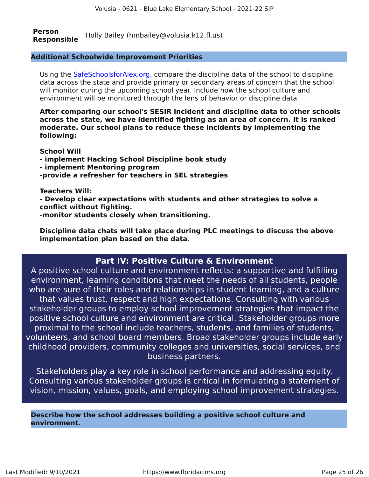**Person Responsible** Holly Bailey (hmbailey@volusia.k12.fl.us)

#### **Additional Schoolwide Improvement Priorities**

Using the [SafeSchoolsforAlex.org,](https://www.safeschoolsforalex.org/fl-school-safety-dashboard/) compare the discipline data of the school to discipline data across the state and provide primary or secondary areas of concern that the school will monitor during the upcoming school year. Include how the school culture and environment will be monitored through the lens of behavior or discipline data.

**After comparing our school's SESIR incident and discipline data to other schools across the state, we have identified fighting as an area of concern. It is ranked moderate. Our school plans to reduce these incidents by implementing the following:**

**School Will**

- **implement Hacking School Discipline book study**
- **implement Mentoring program**
- **-provide a refresher for teachers in SEL strategies**

#### **Teachers Will:**

**- Develop clear expectations with students and other strategies to solve a conflict without fighting.**

**-monitor students closely when transitioning.**

**Discipline data chats will take place during PLC meetings to discuss the above implementation plan based on the data.**

### **Part IV: Positive Culture & Environment**

<span id="page-24-0"></span>A positive school culture and environment reflects: a supportive and fulfilling environment, learning conditions that meet the needs of all students, people who are sure of their roles and relationships in student learning, and a culture that values trust, respect and high expectations. Consulting with various stakeholder groups to employ school improvement strategies that impact the positive school culture and environment are critical. Stakeholder groups more proximal to the school include teachers, students, and families of students, volunteers, and school board members. Broad stakeholder groups include early childhood providers, community colleges and universities, social services, and business partners.

Stakeholders play a key role in school performance and addressing equity. Consulting various stakeholder groups is critical in formulating a statement of vision, mission, values, goals, and employing school improvement strategies.

**Describe how the school addresses building a positive school culture and environment.**